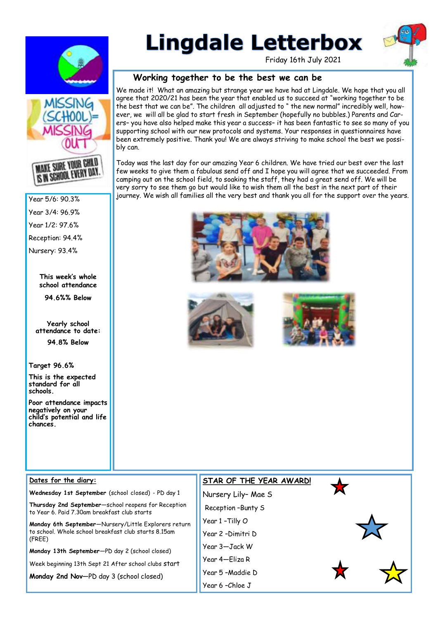

# **Lingdale Letterbox**

Friday 16th July 2021

#### **Working together to be the best we can be**

We made it! What an amazing but strange year we have had at Lingdale. We hope that you all agree that 2020/21 has been the year that enabled us to succeed at "working together to be the best that we can be". The children all adjusted to " the new normal" incredibly well, however, we will all be glad to start fresh in September (hopefully no bubbles.) Parents and Carers– you have also helped make this year a success– it has been fantastic to see so many of you supporting school with our new protocols and systems. Your responses in questionnaires have been extremely positive. Thank you! We are always striving to make school the best we possibly can.

Today was the last day for our amazing Year 6 children. We have tried our best over the last few weeks to give them a fabulous send off and I hope you will agree that we succeeded. From camping out on the school field, to soaking the staff, they had a great send off. We will be very sorry to see them go but would like to wish them all the best in the next part of their journey. We wish all families all the very best and thank you all for the support over the years.









**MAKE SURE YOUR GHILD IS IN SCHOOL EVERY DAY.** 

Year 5/6: 90.3%

Year 3/4: 96.9%

Year 1/2: 97.6%

Reception: 94.4%

Nursery: 93.4%

**This week's whole school attendance** 

**94.6%% Below** 

**Yearly school attendance to date: 94.8% Below** 

**Target 96.6%**

**This is the expected standard for all schools.**

**Poor attendance impacts negatively on your child's potential and life chances.**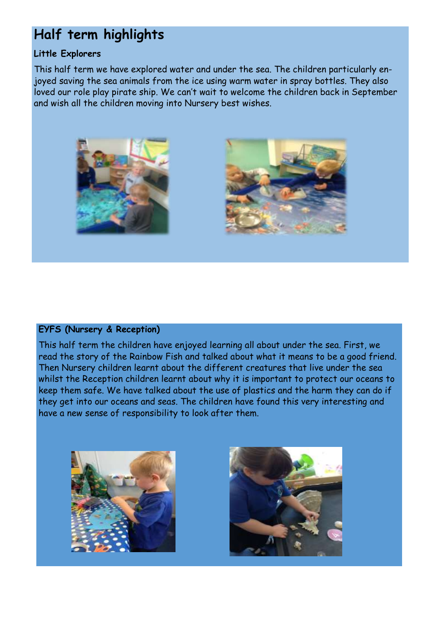# **Half term highlights**

## **Little Explorers**

This half term we have explored water and under the sea. The children particularly enjoyed saving the sea animals from the ice using warm water in spray bottles. They also loved our role play pirate ship. We can't wait to welcome the children back in September and wish all the children moving into Nursery best wishes.





### **EYFS (Nursery & Reception)**

This half term the children have enjoyed learning all about under the sea. First, we read the story of the Rainbow Fish and talked about what it means to be a good friend. Then Nursery children learnt about the different creatures that live under the sea whilst the Reception children learnt about why it is important to protect our oceans to keep them safe. We have talked about the use of plastics and the harm they can do if they get into our oceans and seas. The children have found this very interesting and have a new sense of responsibility to look after them.



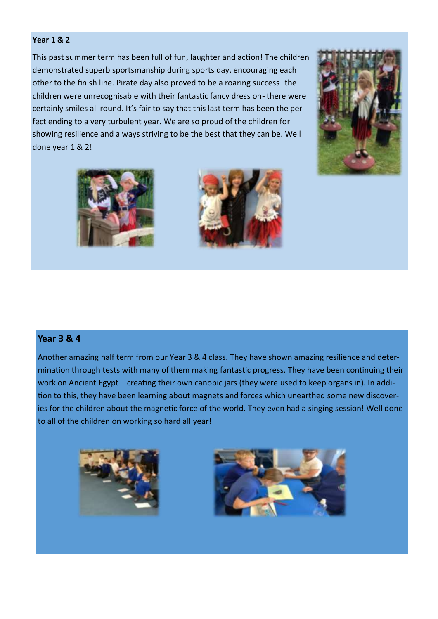#### **Year 1 & 2**

This past summer term has been full of fun, laughter and action! The children demonstrated superb sportsmanship during sports day, encouraging each other to the finish line. Pirate day also proved to be a roaring success- the children were unrecognisable with their fantastic fancy dress on- there were certainly smiles all round. It's fair to say that this last term has been the perfect ending to a very turbulent year. We are so proud of the children for showing resilience and always striving to be the best that they can be. Well done year 1 & 2!







#### **Year 3 & 4**

Another amazing half term from our Year 3 & 4 class. They have shown amazing resilience and determination through tests with many of them making fantastic progress. They have been continuing their work on Ancient Egypt – creating their own canopic jars (they were used to keep organs in). In addition to this, they have been learning about magnets and forces which unearthed some new discoveries for the children about the magnetic force of the world. They even had a singing session! Well done to all of the children on working so hard all year!